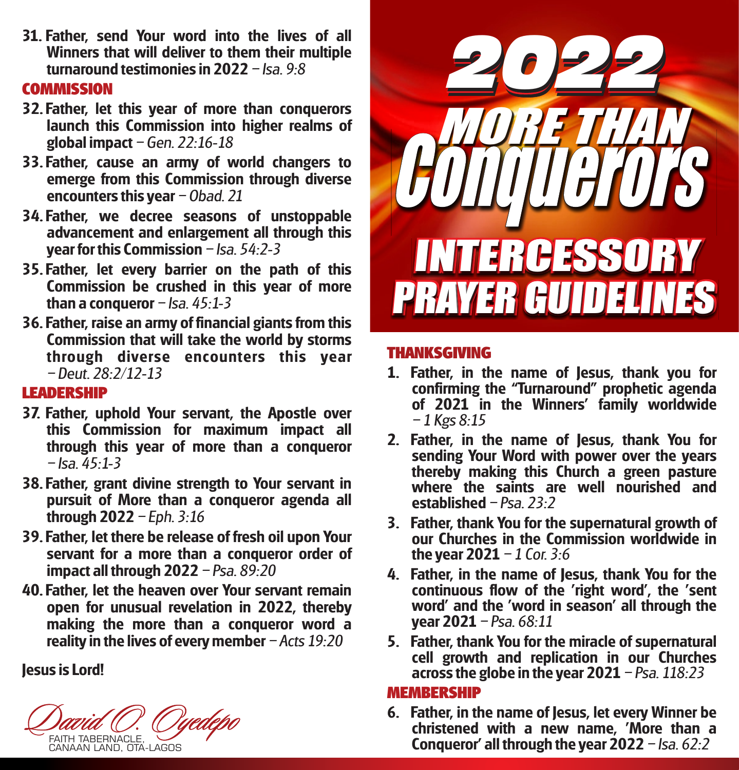**31. Father, send Your word into the lives of all Winners that will deliver to them their multiple turnaround testimonies in 2022** – Isa, 9:8

#### **COMMISSION**

- **32. Father, let this year of more than conquerors launch this Commission into higher realms of global impact** – Gen. 22:16-18
- **33. Father, cause an army of world changers to emerge from this Commission through diverse encounters this year** - Obad. 21
- **34. Father, we decree seasons of unstoppable advancement and enlargement all through this year for this Commission** – Isa, 54:2-3
- **35. Father, let every barrier on the path of this Commission be crushed in this year of more than a conqueror**  $-$  Isa. 45:1-3
- **36. Father, raise an army of financial giants from this Commission that will take the world by storms through diverse encounters this year**  $-D$ eut. 28:2/12-13

# **LEADERSHIP**

- **37. Father, uphold Your servant, the Apostle over this Commission for maximum impact all through this year of more than a conqueror**   $-$  Isa. 45 $\cdot$ 1-3
- **38. Father, grant divine strength to Your servant in pursuit of More than a conqueror agenda all through 2022** – Eph. 3:16
- **39. Father, let there be release of fresh oil upon Your servant for a more than a conqueror order of impact all through 2022** - Psa. 89:20
- **40. Father, let the heaven over Your servant remain open for unusual revelation in 2022, thereby making the more than a conqueror word a reality in the lives of every member**  $-Acts$  19:20

**Jesus is Lord!**

FAITH TABERNACLE, CANAAN LAND, OTA-LAGOS



## **THANKSGIVING**

- **1. Father, in the name of Jesus, thank you for**  confirming the "Turnaround" prophetic agenda **of 2021 in the Winners' family worldwide**  $-1$  Kgs  $8:15$
- **2. Father, in the name of Jesus, thank You for sending Your Word with power over the years thereby making this Church a green pasture where the saints are well nourished and established**  $-P$ sa  $23.2$
- **3. Father, thank You for the supernatural growth of our Churches in the Commission worldwide in the year 2021**  $-1$  Cor. 3:6
- **4. Father, in the name of Jesus, thank You for the continuous flow of the 'right word', the 'sent word' and the 'word in season' all through the year 2021** – Psa, 68:11
- **5. Father, thank You for the miracle of supernatural cell growth and replication in our Churches across the globe in the year 2021**  Psa. 118:23

#### **MEMBERSHIP**

**6. Father, in the name of Jesus, let every Winner be christened with a new name, 'More than a Conqueror' all through the year 2022** – Isa, 62:2